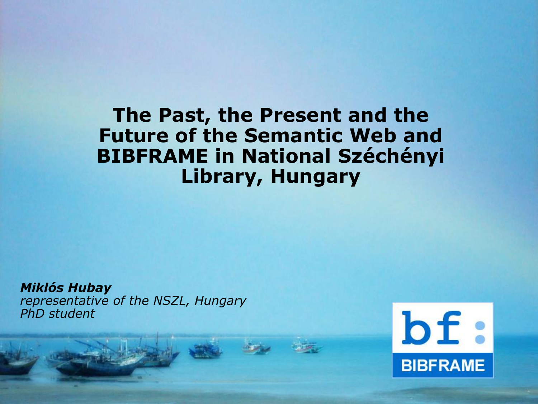#### **The Past, the Present and the Future of the Semantic Web and BIBFRAME in National Széchényi Library, Hungary**

*Miklós Hubay representative of the NSZL, Hungary PhD student*

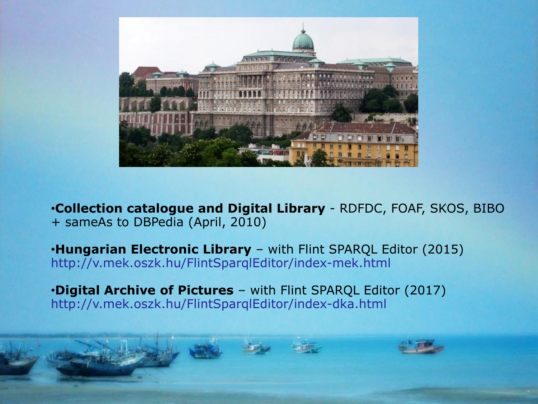

•**Collection catalogue and Digital Library** - RDFDC, FOAF, SKOS, BIBO + sameAs to DBPedia (April, 2010)

•**Hungarian Electronic Library** – with Flint SPARQL Editor (2015) http://v.mek.oszk.hu/FlintSparqlEditor/index-mek.html

•**Digital Archive of Pictures** – with Flint SPARQL Editor (2017) http://v.mek.oszk.hu/FlintSparqlEditor/index-dka.html

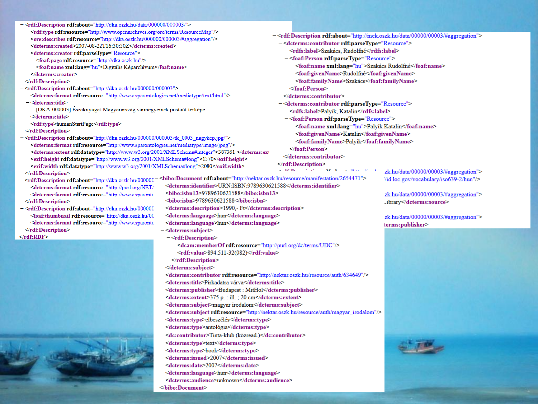|  | - <rdf:description rdf:about="http://dka.oszk.hu/data/000000/000003/"></rdf:description>                                                                                                                                                                                                                                                                                                                                                                  |                                                                                                       |                                                                                                                                                                                                                                                             |                                       |
|--|-----------------------------------------------------------------------------------------------------------------------------------------------------------------------------------------------------------------------------------------------------------------------------------------------------------------------------------------------------------------------------------------------------------------------------------------------------------|-------------------------------------------------------------------------------------------------------|-------------------------------------------------------------------------------------------------------------------------------------------------------------------------------------------------------------------------------------------------------------|---------------------------------------|
|  | <rdf:type rdf:resource="http://www.openarchives.org/ore/terms/ResourceMap"></rdf:type>                                                                                                                                                                                                                                                                                                                                                                    |                                                                                                       |                                                                                                                                                                                                                                                             |                                       |
|  | <br>ore:describes rdf:resource="http://dka.oszk.hu/000000/000003/#aggregation"<br>><br><dcterms:created>2007-08-22T16:30:30Z</dcterms:created><br>- <dcterms:creator rdf:parsetype="Resource"><br/><foaf:page rdf:resource="http://dka.oszk.hu"></foaf:page><br/><foaf:name xml:lang="hu">Digitális Képarchívum</foaf:name><br/></dcterms:creator><br>                                                                                                    |                                                                                                       | - <rdf:description rdf:about="http://mek.oszk.hu/data/00000/00003/#aggregation"><br/>-<dcterms:contributor rdf:parsetype="Resource"></dcterms:contributor></rdf:description>                                                                                |                                       |
|  |                                                                                                                                                                                                                                                                                                                                                                                                                                                           |                                                                                                       | <rdfs:label>Szakács, Rudolfné</rdfs:label><br>- <foaf:person rdf:parsetype="Resource"><br/><foaf:name xml:lang="hu">Szakács Rudolfné</foaf:name><br/><foaf:givenname>Rudolfné</foaf:givenname><br/><foaf:familyname>Szakács</foaf:familyname></foaf:person> |                                       |
|  |                                                                                                                                                                                                                                                                                                                                                                                                                                                           |                                                                                                       |                                                                                                                                                                                                                                                             |                                       |
|  |                                                                                                                                                                                                                                                                                                                                                                                                                                                           |                                                                                                       |                                                                                                                                                                                                                                                             |                                       |
|  |                                                                                                                                                                                                                                                                                                                                                                                                                                                           |                                                                                                       |                                                                                                                                                                                                                                                             |                                       |
|  |                                                                                                                                                                                                                                                                                                                                                                                                                                                           |                                                                                                       |                                                                                                                                                                                                                                                             |                                       |
|  |                                                                                                                                                                                                                                                                                                                                                                                                                                                           |                                                                                                       |                                                                                                                                                                                                                                                             |                                       |
|  | - < rdf:Description rdf:about="http://dka.oszk.hu/000000/000003">                                                                                                                                                                                                                                                                                                                                                                                         |                                                                                                       |                                                                                                                                                                                                                                                             |                                       |
|  | <dcterms:format rdf:resource="http://www.sparontologies.net/mediatype/text/html"></dcterms:format>                                                                                                                                                                                                                                                                                                                                                        |                                                                                                       | $\le$ /dcterms:contributor>                                                                                                                                                                                                                                 |                                       |
|  | - <dcterms:title></dcterms:title>                                                                                                                                                                                                                                                                                                                                                                                                                         |                                                                                                       | - <dcterms:contributor rdf:parsetype="Resource"></dcterms:contributor>                                                                                                                                                                                      |                                       |
|  | [DKA-000003] Eszaknyugat-Magyarország vármegyéinek postaút-térképe                                                                                                                                                                                                                                                                                                                                                                                        |                                                                                                       | <rdfs:label>Palyik, Katalin</rdfs:label>                                                                                                                                                                                                                    |                                       |
|  |                                                                                                                                                                                                                                                                                                                                                                                                                                                           |                                                                                                       | - <foaf:person rdf:parsetype="Resource"></foaf:person>                                                                                                                                                                                                      |                                       |
|  | <rdf:type>humanStartPage</rdf:type>                                                                                                                                                                                                                                                                                                                                                                                                                       |                                                                                                       | <foaf:name xml:lang="hu">Palyik Katalin</foaf:name>                                                                                                                                                                                                         |                                       |
|  |                                                                                                                                                                                                                                                                                                                                                                                                                                                           |                                                                                                       | <foaf:givenname>Katalin</foaf:givenname>                                                                                                                                                                                                                    |                                       |
|  | - <rdf:description rdf:about="http://dka.oszk.hu/000000/000003/tk_0003_nagykep.jpg/"></rdf:description>                                                                                                                                                                                                                                                                                                                                                   |                                                                                                       | <foaf:familyname>Palyik</foaf:familyname>                                                                                                                                                                                                                   |                                       |
|  | <dcterms:format rdf:resource="http://www.sparontologies.net/mediatype/image/jpeg"></dcterms:format>                                                                                                                                                                                                                                                                                                                                                       |                                                                                                       |                                                                                                                                                                                                                                                             |                                       |
|  | <dcterms:extent rdf:datatype="http://www.w3.org/2001/XMLSchema#integer">387361 <td></td><td></td><td></td></dcterms:extent>                                                                                                                                                                                                                                                                                                                               |                                                                                                       |                                                                                                                                                                                                                                                             |                                       |
|  | <exif:height rdf:datatype="http://www.w3.org/2001/XMLSchema#long">1370</exif:height><br><exif:width rdf:datatype="http://www.w3.org/2001/XMLSchema#long">2080</exif:width>                                                                                                                                                                                                                                                                                |                                                                                                       |                                                                                                                                                                                                                                                             |                                       |
|  |                                                                                                                                                                                                                                                                                                                                                                                                                                                           |                                                                                                       |                                                                                                                                                                                                                                                             |                                       |
|  | - <rdf:description 2654471"="" http:="" manifestation="" nektar.oszk.hu="" rdf:about="http://dka.oszk.hu/000000&lt;/td&gt;&lt;td&gt;&lt;br/&gt;bibo:Document rdf:about=" resource=""></rdf:description>                                                                                                                                                                                                                                                   |                                                                                                       | //id.loc.gov/vocabulary/iso639-2/hun"/>                                                                                                                                                                                                                     |                                       |
|  | <dcterms:format http:="" rdf:resource="http://purl.org/NET/&lt;/td&gt;&lt;td&gt;&lt;dcterms:identifier&gt;URN:ISBN:9789630621588&lt;/dcterms:identifier&gt;&lt;/td&gt;&lt;td&gt;&lt;/td&gt;&lt;td&gt;&lt;/td&gt;&lt;/tr&gt;&lt;tr&gt;&lt;td&gt;&lt;/td&gt;&lt;td&gt;&lt;dcterms:format rdf:resource=" td="" www.sparontc<=""><td><bibo:isbn13>9789630621588</bibo:isbn13></td><td></td><td>zk.hu/data/00000/00003/#aggregation"&gt;</td></dcterms:format> | <bibo:isbn13>9789630621588</bibo:isbn13>                                                              |                                                                                                                                                                                                                                                             | zk.hu/data/00000/00003/#aggregation"> |
|  |                                                                                                                                                                                                                                                                                                                                                                                                                                                           | <br>bibo:isbn>9789630621588                                                                           |                                                                                                                                                                                                                                                             |                                       |
|  | - < rdf:Description rdf:about="http://dka.oszk.hu/000000                                                                                                                                                                                                                                                                                                                                                                                                  | <dcterms:description>1990,- Ft</dcterms:description>                                                  |                                                                                                                                                                                                                                                             | .ibrary                               |
|  | <foaf:thumbnail http:="" rdf:resource="http://dka.oszk.hu/00&lt;/td&gt;&lt;td&gt;&lt;dcterms:language&gt;hun&lt;/dcterms:language&gt;&lt;/td&gt;&lt;td&gt;&lt;/td&gt;&lt;td&gt;&lt;/td&gt;&lt;/tr&gt;&lt;tr&gt;&lt;td&gt;&lt;/td&gt;&lt;td&gt;&lt;dcterms:format rdf:resource=" td="" www.sparontc<=""><td><dcterms:language>hun</dcterms:language></td><td></td><td>zk.hu/data/00000/00003/#aggregation"&gt;</td></foaf:thumbnail>                       | <dcterms:language>hun</dcterms:language>                                                              |                                                                                                                                                                                                                                                             | zk.hu/data/00000/00003/#aggregation"> |
|  |                                                                                                                                                                                                                                                                                                                                                                                                                                                           | - <dcterms:subject></dcterms:subject>                                                                 |                                                                                                                                                                                                                                                             | terms:publisher>                      |
|  | $\leq rdf$ :RDF>                                                                                                                                                                                                                                                                                                                                                                                                                                          | - <rdf:description></rdf:description>                                                                 |                                                                                                                                                                                                                                                             |                                       |
|  |                                                                                                                                                                                                                                                                                                                                                                                                                                                           | <dcam:memberof rdf:resource="http://purl.org/dc/terms/UDC"></dcam:memberof>                           |                                                                                                                                                                                                                                                             |                                       |
|  |                                                                                                                                                                                                                                                                                                                                                                                                                                                           | <rdf:value>894.511-32(082)</rdf:value>                                                                |                                                                                                                                                                                                                                                             |                                       |
|  |                                                                                                                                                                                                                                                                                                                                                                                                                                                           | $\leq$ rdf:Description>                                                                               |                                                                                                                                                                                                                                                             |                                       |
|  |                                                                                                                                                                                                                                                                                                                                                                                                                                                           |                                                                                                       |                                                                                                                                                                                                                                                             |                                       |
|  |                                                                                                                                                                                                                                                                                                                                                                                                                                                           |                                                                                                       |                                                                                                                                                                                                                                                             |                                       |
|  |                                                                                                                                                                                                                                                                                                                                                                                                                                                           | <dcterms:contributor rdf:resource="http://nektar.oszk.hu/resource/auth/634649"></dcterms:contributor> |                                                                                                                                                                                                                                                             |                                       |
|  |                                                                                                                                                                                                                                                                                                                                                                                                                                                           | <dcterms:title>Pirkadatra várva</dcterms:title>                                                       |                                                                                                                                                                                                                                                             |                                       |
|  |                                                                                                                                                                                                                                                                                                                                                                                                                                                           | <dcterms:publisher>Budapest: MitHol</dcterms:publisher>                                               |                                                                                                                                                                                                                                                             |                                       |
|  |                                                                                                                                                                                                                                                                                                                                                                                                                                                           | <dcterms:extent>375 p. : ill. ; 20 cm</dcterms:extent>                                                |                                                                                                                                                                                                                                                             |                                       |
|  |                                                                                                                                                                                                                                                                                                                                                                                                                                                           | <dcterms:subject>magyar irodalom</dcterms:subject>                                                    |                                                                                                                                                                                                                                                             |                                       |
|  |                                                                                                                                                                                                                                                                                                                                                                                                                                                           |                                                                                                       | <dcterms:subject rdf:resource="http://nektar.oszk.hu/resource/auth/magyar_irodalom"></dcterms:subject>                                                                                                                                                      |                                       |
|  |                                                                                                                                                                                                                                                                                                                                                                                                                                                           | <dcterms:type>elbeszélés</dcterms:type>                                                               |                                                                                                                                                                                                                                                             |                                       |
|  |                                                                                                                                                                                                                                                                                                                                                                                                                                                           | <dcterms:type>antológia</dcterms:type>                                                                |                                                                                                                                                                                                                                                             |                                       |
|  |                                                                                                                                                                                                                                                                                                                                                                                                                                                           | <dc:contributor>Tinta-klub (közread.)</dc:contributor>                                                |                                                                                                                                                                                                                                                             |                                       |
|  |                                                                                                                                                                                                                                                                                                                                                                                                                                                           | <dcterms:type>text</dcterms:type>                                                                     |                                                                                                                                                                                                                                                             |                                       |
|  |                                                                                                                                                                                                                                                                                                                                                                                                                                                           | <dcterms:type>book</dcterms:type>                                                                     |                                                                                                                                                                                                                                                             |                                       |
|  |                                                                                                                                                                                                                                                                                                                                                                                                                                                           | <dcterms:issued>2007</dcterms:issued>                                                                 |                                                                                                                                                                                                                                                             |                                       |
|  |                                                                                                                                                                                                                                                                                                                                                                                                                                                           | <dcterms:date>2007</dcterms:date>                                                                     |                                                                                                                                                                                                                                                             |                                       |
|  |                                                                                                                                                                                                                                                                                                                                                                                                                                                           | <dcterms:language>hun</dcterms:language>                                                              |                                                                                                                                                                                                                                                             |                                       |
|  |                                                                                                                                                                                                                                                                                                                                                                                                                                                           | <dcterms:audience>unknown</dcterms:audience>                                                          |                                                                                                                                                                                                                                                             |                                       |

 $<$ /bibo:Document>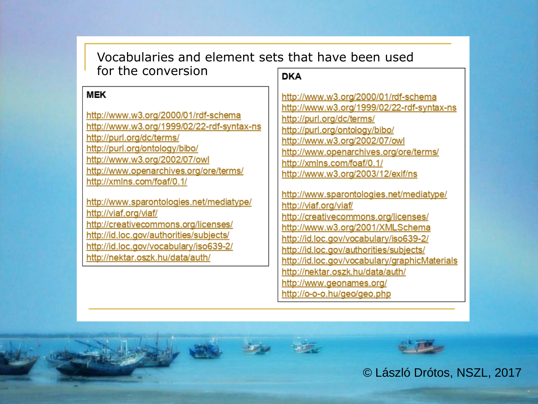| Vocabularies and element sets that have been used                                                                                                                                                                                                                        |                                                                                                                                                                                                                                                                                                                         |  |  |
|--------------------------------------------------------------------------------------------------------------------------------------------------------------------------------------------------------------------------------------------------------------------------|-------------------------------------------------------------------------------------------------------------------------------------------------------------------------------------------------------------------------------------------------------------------------------------------------------------------------|--|--|
| for the conversion                                                                                                                                                                                                                                                       | <b>DKA</b>                                                                                                                                                                                                                                                                                                              |  |  |
| <b>MEK</b><br>http://www.w3.org/2000/01/rdf-schema<br>http://www.w3.org/1999/02/22-rdf-syntax-ns<br>http://purl.org/dc/terms/<br>http://purl.org/ontology/bibo/<br>http://www.w3.org/2002/07/owl<br>http://www.openarchives.org/ore/terms/<br>http://xmlns.com/foaf/0.1/ | http://www.w3.org/2000/01/rdf-schema<br>http://www.w3.org/1999/02/22-rdf-syntax-ns<br>http://purl.org/dc/terms/<br>http://purl.org/ontology/bibo/<br>http://www.w3.org/2002/07/owl<br>http://www.openarchives.org/ore/terms/<br>http://xmlns.com/foaf/0.1/<br>http://www.w3.org/2003/12/exif/ns                         |  |  |
| http://www.sparontologies.net/mediatype/<br>http://viaf.org/viaf/<br>http://creativecommons.org/licenses/<br>http://id.loc.gov/authorities/subjects/<br>http://id.loc.gov/vocabulary/iso639-2/<br>http://nektar.oszk.hu/data/auth/                                       | http://www.sparontologies.net/mediatype/<br>http://viaf.org/viaf/<br>http://creativecommons.org/licenses/<br>http://www.w3.org/2001/XMLSchema<br>http://id.loc.gov/vocabulary/iso639-2/<br>http://id.loc.gov/authorities/subjects/<br>http://id.loc.gov/vocabulary/graphicMaterials<br>http://nektar.oszk.hu/data/auth/ |  |  |

http://www.geonames.org/

http://o-o-o.hu/geo/geo.php

© László Drótos, NSZL, 2017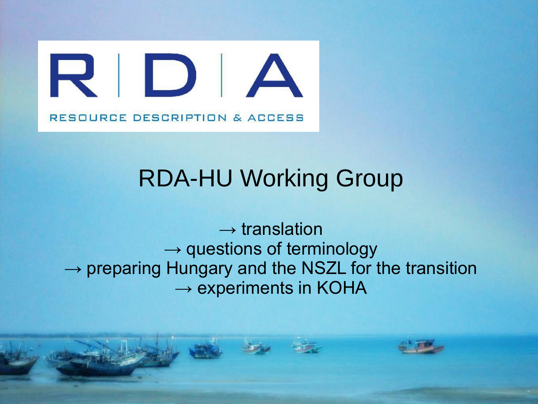

# RDA-HU Working Group

 $\rightarrow$  translation  $\rightarrow$  questions of terminology  $\rightarrow$  preparing Hungary and the NSZL for the transition  $\rightarrow$  experiments in KOHA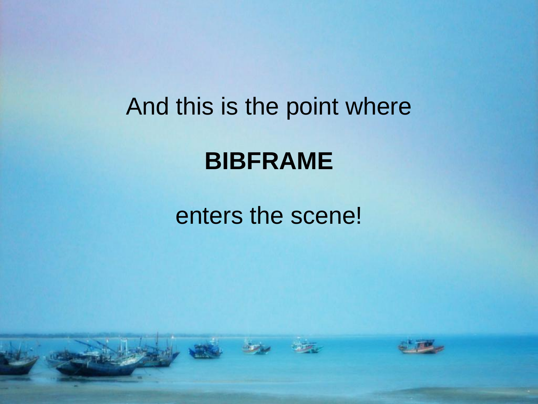## And this is the point where

#### **BIBFRAME**

### enters the scene!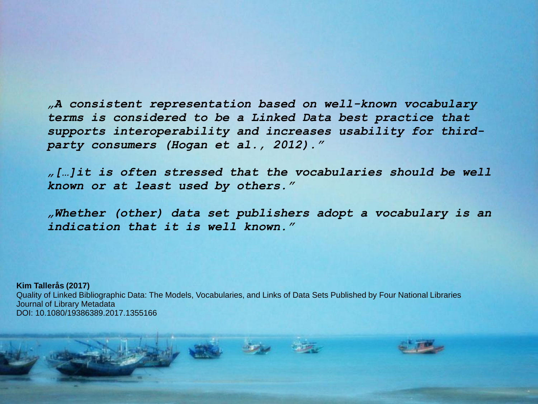*"A consistent representation based on well-known vocabulary terms is considered to be a Linked Data best practice that supports interoperability and increases usability for thirdparty consumers (Hogan et al., 2012)."*

*"[…]it is often stressed that the vocabularies should be well known or at least used by others."*

*"Whether (other) data set publishers adopt a vocabulary is an indication that it is well known."*

**Kim Tallerås (2017)** Quality of Linked Bibliographic Data: The Models, Vocabularies, and Links of Data Sets Published by Four National Libraries Journal of Library Metadata DOI: 10.1080/19386389.2017.1355166